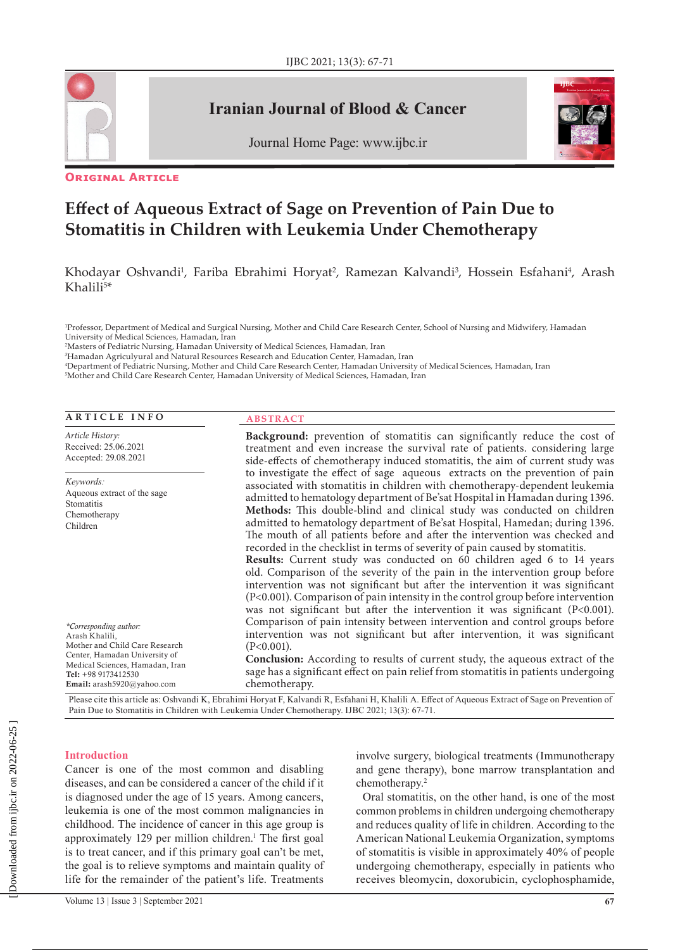

# **Iranian Journal of Blood & Cancer**





### **Original Article**

# **Effect of Aqueous Extract of Sage on Prevention of Pain Due to Stomatitis in Children with Leukemia Under Chemotherapy**

Khodayar Oshvandi<sup>1</sup>, Fariba Ebrahimi Horyat<sup>2</sup>, Ramezan Kalvandi<sup>3</sup>, Hossein Esfahani<sup>4</sup>, Arash  $Khalili<sup>5</sup>$ 

1 Professor, Department of Medical and Surgical Nursing, Mother and Child Care Research Center, School of Nursing and Midwifery, Hamadan University of Medical Sciences, Hamadan, Iran

2 Masters of Pediatric Nursing, Hamadan University of Medical Sciences, Hamadan, Iran

3 Hamadan Agriculyural and Natural Resources Research and Education Center, Hamadan, Iran

4 Department of Pediatric Nursing, Mother and Child Care Research Center, Hamadan University of Medical Sciences, Hamadan, Iran

5 Mother and Child Care Research Center, Hamadan University of Medical Sciences, Hamadan, Iran

#### **ARTICLE INFO**

*Article History:* Received: 25.06.2021 Accepted: 29.08.2021

*Keywords:* Aqueous extract of the sage Stomatitis Chemotherapy Children

#### **ABSTRACT**

**Background:** prevention of stomatitis can significantly reduce the cost of treatment and even increase the survival rate of patients. considering large side-effects of chemotherapy induced stomatitis, the aim of current study was to investigate the effect of sage aqueous extracts on the prevention of pain associated with stomatitis in children with chemotherapy-dependent leukemia admitted to hematology department of Be'sat Hospital in Hamadan during 1396. **Methods:** This double-blind and clinical study was conducted on children admitted to hematology department of Be'sat Hospital, Hamedan; during 1396. The mouth of all patients before and after the intervention was checked and recorded in the checklist in terms of severity of pain caused by stomatitis. **Results:** Current study was conducted on 60 children aged 6 to 14 years old. Comparison of the severity of the pain in the intervention group before intervention was not significant but after the intervention it was significant (P<0.001). Comparison of pain intensity in the control group before intervention was not significant but after the intervention it was significant (P<0.001). Comparison of pain intensity between intervention and control groups before intervention was not significant but after intervention, it was significant (P<0.001).

**Conclusion:** According to results of current study, the aqueous extract of the sage has a significant effect on pain relief from stomatitis in patients undergoing chemotherapy.

Please cite this article as: Oshvandi K, Ebrahimi Horyat F, Kalvandi R, Esfahani H, Khalili A. Effect of Aqueous Extract of Sage on Prevention of Pain Due to Stomatitis in Children with Leukemia Under Chemotherapy. IJBC 2021; 13(3): 67-71.

#### **Introduction**

*\*Corresponding author:* Arash Khalili,

Tel: +98 9173412530 Email: arash5920@yahoo.com

Mother and Child Care Research Center, Hamadan University of Medical Sciences, Hamadan, Iran

Cancer is one of the most common and disabling diseases, and can be considered a cancer of the child if it is diagnosed under the age of 15 years. Among cancers, leukemia is one of the most common malignancies in childhood. The incidence of cancer in this age group is approximately 129 per million children.<sup>1</sup> The first goal is to treat cancer, and if this primary goal can't be met, the goal is to relieve symptoms and maintain quality of life for the remainder of the patient's life. Treatments

involve surgery, biological treatments (Immunotherapy and gene therapy), bone marrow transplantation and chemotherapy.2

Oral stomatitis, on the other hand, is one of the most common problems in children undergoing chemotherapy and reduces quality of life in children. According to the American National Leukemia Organization, symptoms of stomatitis is visible in approximately 40% of people undergoing chemotherapy, especially in patients who receives bleomycin, doxorubicin, cyclophosphamide,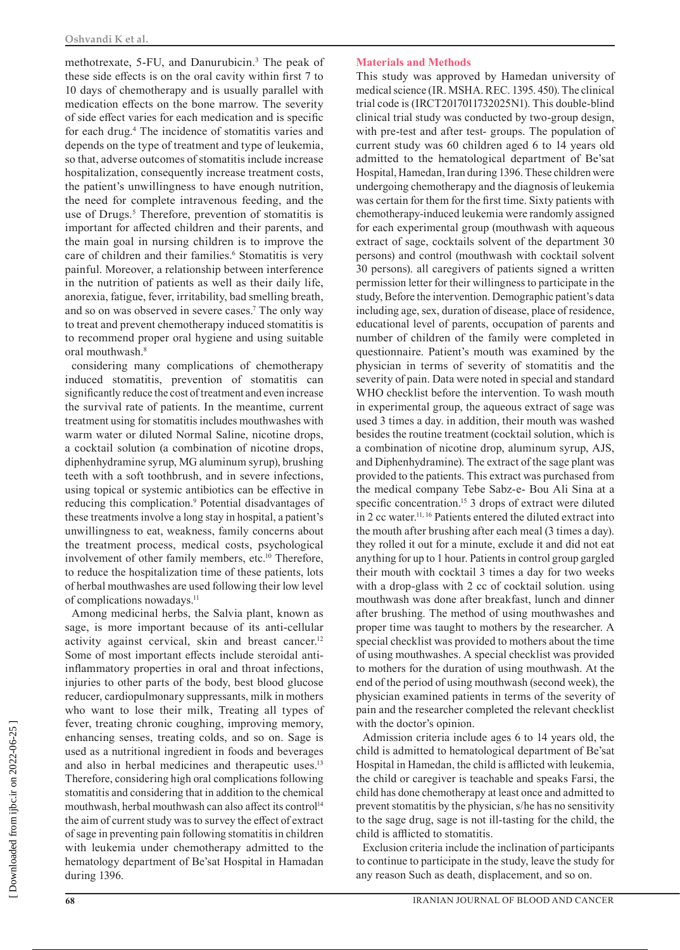methotrexate, 5-FU, and Danurubicin.<sup>3</sup> The peak of these side effects is on the oral cavity within first 7 to 10 days of chemotherapy and is usually parallel with medication effects on the bone marrow. The severity of side effect varies for each medication and is specific for each drug.4 The incidence of stomatitis varies and depends on the type of treatment and type of leukemia, so that, adverse outcomes of stomatitis include increase hospitalization, consequently increase treatment costs, the patient's unwillingness to have enough nutrition, the need for complete intravenous feeding, and the use of Drugs.<sup>5</sup> Therefore, prevention of stomatitis is important for affected children and their parents, and the main goal in nursing children is to improve the care of children and their families.<sup>6</sup> Stomatitis is very painful. Moreover, a relationship between interference in the nutrition of patients as well as their daily life, anorexia, fatigue, fever, irritability, bad smelling breath, and so on was observed in severe cases.7 The only way to treat and prevent chemotherapy induced stomatitis is to recommend proper oral hygiene and using suitable oral mouthwash.<sup>8</sup>

considering many complications of chemotherapy induced stomatitis, prevention of stomatitis can significantly reduce the cost of treatment and even increase the survival rate of patients. In the meantime, current treatment using for stomatitis includes mouthwashes with warm water or diluted Normal Saline, nicotine drops, a cocktail solution (a combination of nicotine drops, diphenhydramine syrup, MG aluminum syrup), brushing teeth with a soft toothbrush, and in severe infections, using topical or systemic antibiotics can be effective in reducing this complication.<sup>9</sup> Potential disadvantages of these treatments involve a long stay in hospital, a patient's unwillingness to eat, weakness, family concerns about the treatment process, medical costs, psychological involvement of other family members, etc.<sup>10</sup> Therefore, to reduce the hospitalization time of these patients, lots of herbal mouthwashes are used following their low level of complications nowadays.<sup>11</sup>

Among medicinal herbs, the Salvia plant, known as sage, is more important because of its anti-cellular activity against cervical, skin and breast cancer.<sup>12</sup> Some of most important effects include steroidal antiinflammatory properties in oral and throat infections, injuries to other parts of the body, best blood glucose reducer, cardiopulmonary suppressants, milk in mothers who want to lose their milk, Treating all types of fever, treating chronic coughing, improving memory, enhancing senses, treating colds, and so on. Sage is used as a nutritional ingredient in foods and beverages and also in herbal medicines and therapeutic uses.<sup>13</sup> Therefore, considering high oral complications following stomatitis and considering that in addition to the chemical mouthwash, herbal mouthwash can also affect its control<sup>14</sup> the aim of current study was to survey the effect of extract of sage in preventing pain following stomatitis in children with leukemia under chemotherapy admitted to the hematology department of Be'sat Hospital in Hamadan during 1396.

### **Materials and Methods**

This study was approved by Hamedan university of medical science (IR. MSHA. REC. 1395. 450). The clinical trial code is (IRCT2017011732025N1). This double-blind clinical trial study was conducted by two-group design, with pre-test and after test- groups. The population of current study was 60 children aged 6 to 14 years old admitted to the hematological department of Be'sat Hospital, Hamedan, Iran during 1396. These children were undergoing chemotherapy and the diagnosis of leukemia was certain for them for the first time. Sixty patients with chemotherapy-induced leukemia were randomly assigned for each experimental group (mouthwash with aqueous extract of sage, cocktails solvent of the department 30 persons) and control (mouthwash with cocktail solvent 30 persons). all caregivers of patients signed a written permission letter for their willingness to participate in the study, Before the intervention. Demographic patient's data including age, sex, duration of disease, place of residence, educational level of parents, occupation of parents and number of children of the family were completed in questionnaire. Patient's mouth was examined by the physician in terms of severity of stomatitis and the severity of pain. Data were noted in special and standard WHO checklist before the intervention. To wash mouth in experimental group, the aqueous extract of sage was used 3 times a day. in addition, their mouth was washed besides the routine treatment (cocktail solution, which is a combination of nicotine drop, aluminum syrup, AJS, and Diphenhydramine). The extract of the sage plant was provided to the patients. This extract was purchased from the medical company Tebe Sabz-e- Bou Ali Sina at a specific concentration.<sup>15</sup> 3 drops of extract were diluted in 2 cc water.11, 16 Patients entered the diluted extract into the mouth after brushing after each meal (3 times a day). they rolled it out for a minute, exclude it and did not eat anything for up to 1 hour. Patients in control group gargled their mouth with cocktail 3 times a day for two weeks with a drop-glass with 2 cc of cocktail solution. using mouthwash was done after breakfast, lunch and dinner after brushing. The method of using mouthwashes and proper time was taught to mothers by the researcher. A special checklist was provided to mothers about the time of using mouthwashes. A special checklist was provided to mothers for the duration of using mouthwash. At the end of the period of using mouthwash (second week), the physician examined patients in terms of the severity of pain and the researcher completed the relevant checklist with the doctor's opinion.

Admission criteria include ages 6 to 14 years old, the child is admitted to hematological department of Be'sat Hospital in Hamedan, the child is afflicted with leukemia, the child or caregiver is teachable and speaks Farsi, the child has done chemotherapy at least once and admitted to prevent stomatitis by the physician, s/he has no sensitivity to the sage drug, sage is not ill-tasting for the child, the child is afflicted to stomatitis.

Exclusion criteria include the inclination of participants to continue to participate in the study, leave the study for any reason Such as death, displacement, and so on.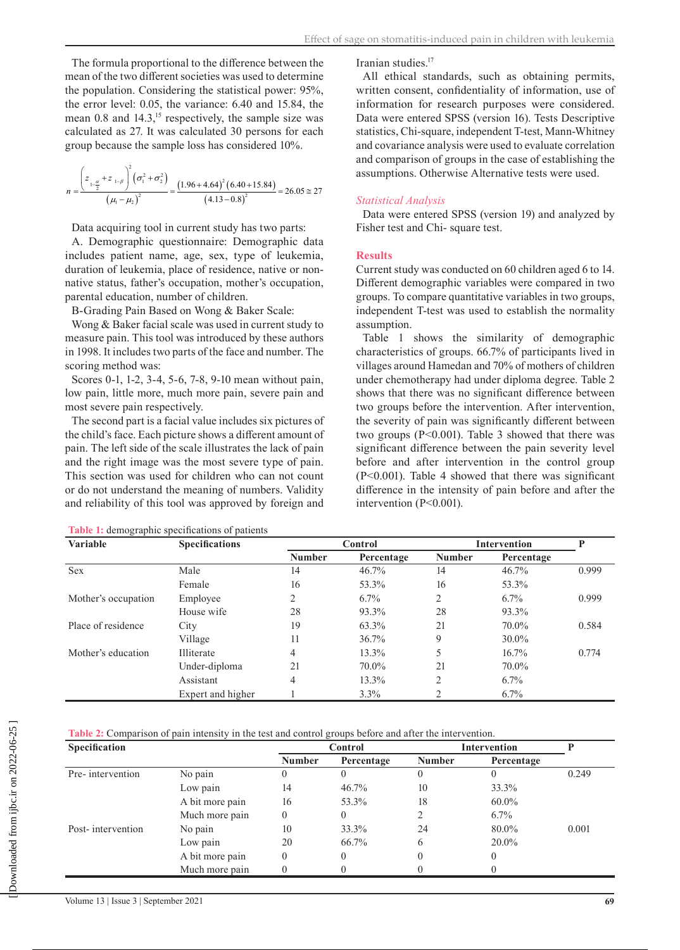The formula proportional to the difference between the mean of the two different societies was used to determine the population. Considering the statistical power: 95%, the error level: 0.05, the variance: 6.40 and 15.84, the mean  $0.8$  and  $14.3$ ,<sup>15</sup> respectively, the sample size was calculated as 27. It was calculated 30 persons for each group because the sample loss has considered 10%.

$$
n = \frac{\left(z_{1-\frac{\alpha}{2}} + z_{1-\beta}\right)^2 \left(\sigma_1^2 + \sigma_2^2\right)}{\left(\mu_1 - \mu_2\right)^2} = \frac{\left(1.96 + 4.64\right)^2 \left(6.40 + 15.84\right)}{\left(4.13 - 0.8\right)^2} = 26.05 \approx 27
$$

Data acquiring tool in current study has two parts:

A. Demographic questionnaire: Demographic data includes patient name, age, sex, type of leukemia, duration of leukemia, place of residence, native or nonnative status, father's occupation, mother's occupation, parental education, number of children.

B-Grading Pain Based on Wong & Baker Scale:

Wong & Baker facial scale was used in current study to measure pain. This tool was introduced by these authors in 1998. It includes two parts of the face and number. The scoring method was:

Scores 0-1, 1-2, 3-4, 5-6, 7-8, 9-10 mean without pain, low pain, little more, much more pain, severe pain and most severe pain respectively.

The second part is a facial value includes six pictures of the child's face. Each picture shows a different amount of pain. The left side of the scale illustrates the lack of pain and the right image was the most severe type of pain. This section was used for children who can not count or do not understand the meaning of numbers. Validity and reliability of this tool was approved by foreign and

Iranian studies.<sup>17</sup>

All ethical standards, such as obtaining permits, written consent, confidentiality of information, use of information for research purposes were considered. Data were entered SPSS (version 16). Tests Descriptive statistics, Chi-square, independent T-test, Mann-Whitney and covariance analysis were used to evaluate correlation and comparison of groups in the case of establishing the assumptions. Otherwise Alternative tests were used.

# *Statistical Analysis*

Data were entered SPSS (version 19) and analyzed by Fisher test and Chi- square test.

## **Results**

Current study was conducted on 60 children aged 6 to 14. Different demographic variables were compared in two groups. To compare quantitative variables in two groups, independent T-test was used to establish the normality assumption.

Table 1 shows the similarity of demographic characteristics of groups. 66.7% of participants lived in villages around Hamedan and 70% of mothers of children under chemotherapy had under diploma degree. Table 2 shows that there was no significant difference between two groups before the intervention. After intervention, the severity of pain was significantly different between two groups (P<0.001). Table 3 showed that there was significant difference between the pain severity level before and after intervention in the control group (P<0.001). Table 4 showed that there was significant difference in the intensity of pain before and after the intervention (P<0.001).

| <b>Variable</b>     | <b>Specifications</b> | <b>Control</b> |            | Intervention  |            | Þ     |
|---------------------|-----------------------|----------------|------------|---------------|------------|-------|
|                     |                       | <b>Number</b>  | Percentage | <b>Number</b> | Percentage |       |
| <b>Sex</b>          | Male                  | 14             | $46.7\%$   | 14            | $46.7\%$   | 0.999 |
|                     | Female                | 16             | 53.3%      | 16            | 53.3%      |       |
| Mother's occupation | Employee              | ↑              | $6.7\%$    | $\mathcal{D}$ | $6.7\%$    | 0.999 |
|                     | House wife            | 28             | 93.3%      | 28            | 93.3%      |       |
| Place of residence  | City                  | 19             | 63.3%      | 21            | 70.0%      | 0.584 |
|                     | Village               | 11             | 36.7%      | 9             | $30.0\%$   |       |
| Mother's education  | Illiterate            | 4              | 13.3%      | 5             | 16.7%      | 0.774 |
|                     | Under-diploma         | 21             | 70.0%      | 21            | 70.0%      |       |
|                     | Assistant             | 4              | 13.3%      |               | $6.7\%$    |       |
|                     | Expert and higher     |                | $3.3\%$    |               | $6.7\%$    |       |

**Table 1:** demographic specifications of patients

**Table 2:** Comparison of pain intensity in the test and control groups before and after the intervention.

| <b>Specification</b> |                 | Control       |            | <b>Intervention</b> |            |       |
|----------------------|-----------------|---------------|------------|---------------------|------------|-------|
|                      |                 | <b>Number</b> | Percentage | <b>Number</b>       | Percentage |       |
| Pre-intervention     | No pain         | 0             |            |                     |            | 0.249 |
|                      | Low pain        | 14            | $46.7\%$   | 10                  | 33.3%      |       |
|                      | A bit more pain | 16            | 53.3%      | 18                  | 60.0%      |       |
|                      | Much more pain  | 0             | $\theta$   |                     | $6.7\%$    |       |
| Post-intervention    | No pain         | 10            | 33.3%      | 24                  | 80.0%      | 0.001 |
|                      | Low pain        | 20            | 66.7%      | 6                   | 20.0%      |       |
|                      | A bit more pain | $\theta$      | 0          |                     |            |       |
|                      | Much more pain  |               |            |                     |            |       |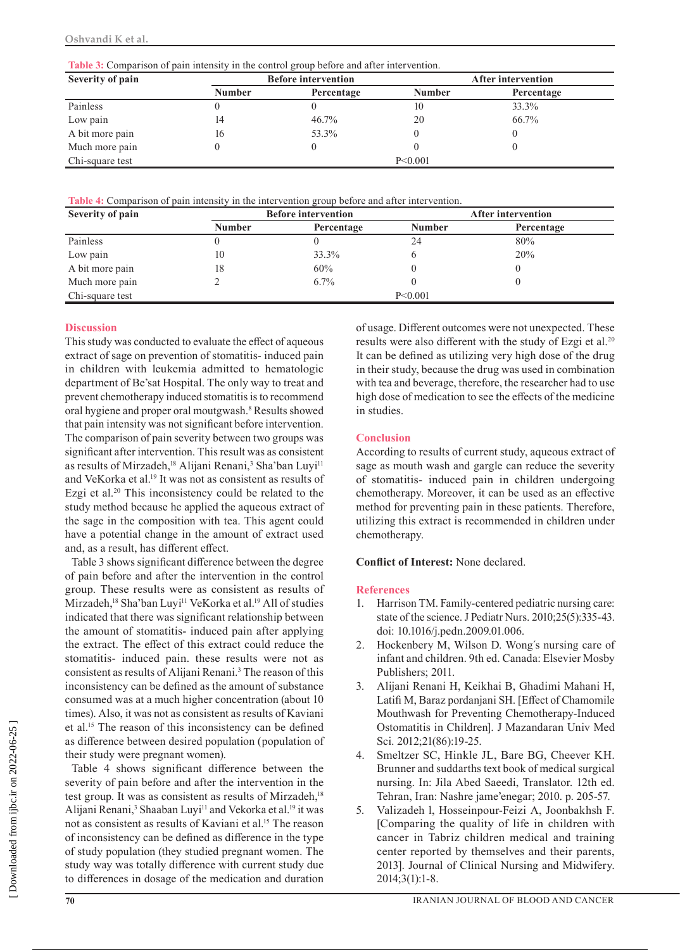**Table 3:** Comparison of pain intensity in the control group before and after intervention.

| Severity of pain |                             | <b>Before intervention</b> | After intervention |            |  |
|------------------|-----------------------------|----------------------------|--------------------|------------|--|
|                  | <b>Number</b><br>Percentage |                            | <b>Number</b>      | Percentage |  |
| Painless         |                             |                            | 10                 | 33.3%      |  |
| Low pain         | 14                          | 46.7%                      | 20                 | 66.7%      |  |
| A bit more pain  | 16                          | 53.3%                      |                    |            |  |
| Much more pain   |                             |                            |                    |            |  |
| Chi-square test  | P < 0.001                   |                            |                    |            |  |

**Table 4:** Comparison of pain intensity in the intervention group before and after intervention.

| Severity of pain |               | <b>Before intervention</b> | <b>After intervention</b> |            |  |
|------------------|---------------|----------------------------|---------------------------|------------|--|
|                  | <b>Number</b> | Percentage                 | <b>Number</b>             | Percentage |  |
| Painless         |               |                            | 24                        | 80%        |  |
| Low pain         | 10            | 33.3%                      |                           | 20%        |  |
| A bit more pain  | 18            | 60%                        |                           |            |  |
| Much more pain   |               | $6.7\%$                    |                           |            |  |
| Chi-square test  | P < 0.001     |                            |                           |            |  |

#### **Discussion**

This study was conducted to evaluate the effect of aqueous extract of sage on prevention of stomatitis- induced pain in children with leukemia admitted to hematologic department of Be'sat Hospital. The only way to treat and prevent chemotherapy induced stomatitis is to recommend oral hygiene and proper oral moutgwash.8 Results showed that pain intensity was not significant before intervention. The comparison of pain severity between two groups was significant after intervention. This result was as consistent as results of Mirzadeh,<sup>18</sup> Alijani Renani,<sup>3</sup> Sha'ban Luyi<sup>11</sup> and VeKorka et al.<sup>19</sup> It was not as consistent as results of Ezgi et al.<sup>20</sup> This inconsistency could be related to the study method because he applied the aqueous extract of the sage in the composition with tea. This agent could have a potential change in the amount of extract used and, as a result, has different effect.

Table 3 shows significant difference between the degree of pain before and after the intervention in the control group. These results were as consistent as results of Mirzadeh,<sup>18</sup> Sha'ban Luyi<sup>11</sup> VeKorka et al.<sup>19</sup> All of studies indicated that there was significant relationship between the amount of stomatitis- induced pain after applying the extract. The effect of this extract could reduce the stomatitis- induced pain. these results were not as consistent as results of Alijani Renani.<sup>3</sup> The reason of this inconsistency can be defined as the amount of substance consumed was at a much higher concentration (about 10 times). Also, it was not as consistent as results of Kaviani et al.15 The reason of this inconsistency can be defined as difference between desired population (population of their study were pregnant women).

Table 4 shows significant difference between the severity of pain before and after the intervention in the test group. It was as consistent as results of Mirzadeh,<sup>18</sup> Alijani Renani,<sup>3</sup> Shaaban Luyi<sup>11</sup> and Vekorka et al.<sup>19</sup> it was not as consistent as results of Kaviani et al.<sup>15</sup> The reason of inconsistency can be defined as difference in the type of study population (they studied pregnant women. The study way was totally difference with current study due to differences in dosage of the medication and duration

of usage. Different outcomes were not unexpected. These results were also different with the study of Ezgi et al.<sup>20</sup> It can be defined as utilizing very high dose of the drug in their study, because the drug was used in combination with tea and beverage, therefore, the researcher had to use high dose of medication to see the effects of the medicine in studies.

#### **Conclusion**

According to results of current study, aqueous extract of sage as mouth wash and gargle can reduce the severity of stomatitis- induced pain in children undergoing chemotherapy. Moreover, it can be used as an effective method for preventing pain in these patients. Therefore, utilizing this extract is recommended in children under chemotherapy.

**Conflict of Interest:** None declared.

#### **References**

- 1. Harrison TM. Family-centered pediatric nursing care: state of the science. J Pediatr Nurs. 2010;25(5):335-43. doi: 10.1016/j.pedn.2009.01.006.
- 2. Hockenbery M, Wilson D. Wong΄s nursing care of infant and children. 9th ed. Canada: Elsevier Mosby Publishers; 2011.
- 3. Alijani Renani H, Keikhai B, Ghadimi Mahani H, Latifi M, Baraz pordanjani SH. [Effect of Chamomile Mouthwash for Preventing Chemotherapy-Induced Ostomatitis in Children]. [J Mazandaran Univ Med](http://jmums.mazums.ac.ir/browse.php?mag_id=60&slc_lang=en&sid=1)  [Sci.](http://jmums.mazums.ac.ir/browse.php?mag_id=60&slc_lang=en&sid=1) 2012;21(86):19-25.
- 4. Smeltzer SC, Hinkle JL, Bare BG, Cheever KH. Brunner and suddarths text book of medical surgical nursing. In: Jila Abed Saeedi, Translator. 12th ed. Tehran, Iran: Nashre jame'enegar; 2010. p. 205-57.
- 5. Valizadeh l, Hosseinpour-Feizi A, Joonbakhsh F. [Comparing the quality of life in children with cancer in Tabriz children medical and training center reported by themselves and their parents, 2013]. Journal of Clinical Nursing and Midwifery. 2014;3(1):1-8.